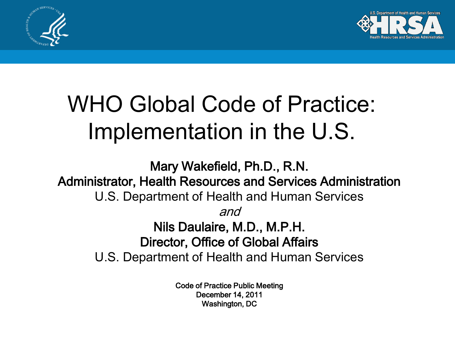



# WHO Global Code of Practice: Implementation in the U.S.

Mary Wakefield, Ph.D., R.N. Administrator, Health Resources and Services Administration U.S. Department of Health and Human Services and Nils Daulaire, M.D., M.P.H. Director, Office of Global Affairs U.S. Department of Health and Human Services

> Code of Practice Public Meeting December 14, 2011 Washington, DC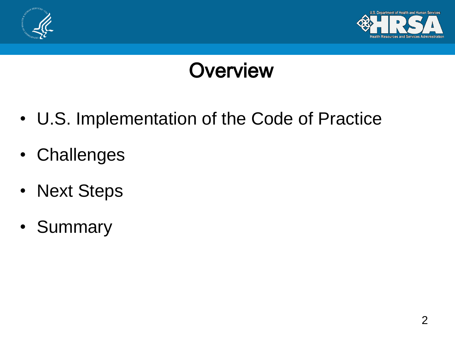



#### **Overview**

- U.S. Implementation of the Code of Practice
- Challenges
- Next Steps
- Summary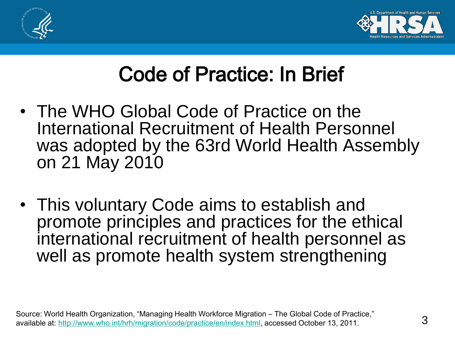



## Code of Practice: In Brief

- The WHO Global Code of Practice on the International Recruitment of Health Personnel was adopted by the 63rd World Health Assembly on 21 May 2010
- This voluntary Code aims to establish and promote principles and practices for the ethical international recruitment of health personnel as well as promote health system strengthening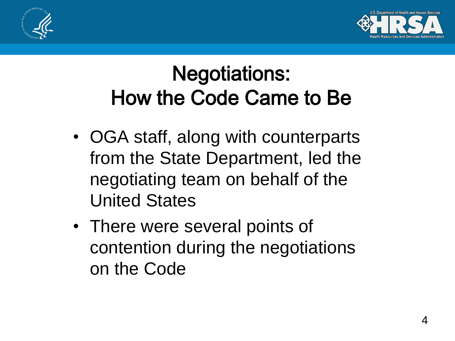



## Negotiations: How the Code Came to Be

- OGA staff, along with counterparts from the State Department, led the negotiating team on behalf of the United States
- There were several points of contention during the negotiations on the Code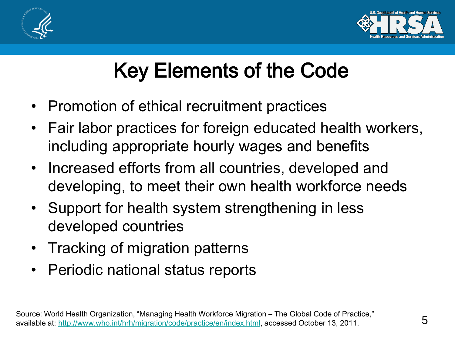



## Key Elements of the Code

- Promotion of ethical recruitment practices
- Fair labor practices for foreign educated health workers, including appropriate hourly wages and benefits
- Increased efforts from all countries, developed and developing, to meet their own health workforce needs
- Support for health system strengthening in less developed countries
- Tracking of migration patterns
- Periodic national status reports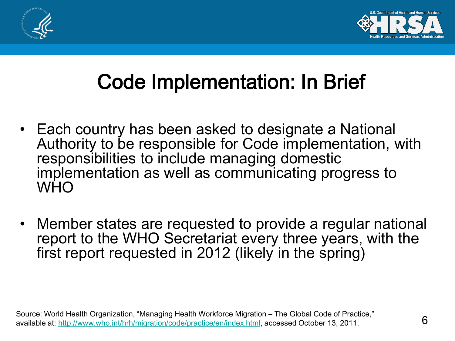



## Code Implementation: In Brief

- Each country has been asked to designate a National Authority to be responsible for Code implementation, with responsibilities to include managing domestic implementation as well as communicating progress to WHO
- Member states are requested to provide a regular national report to the WHO Secretariat every three years, with the first report requested in 2012 (likely in the spring)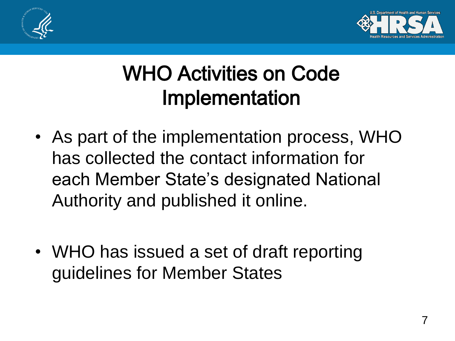



## WHO Activities on Code Implementation

- As part of the implementation process, WHO has collected the contact information for each Member State's designated National Authority and published it online.
- WHO has issued a set of draft reporting guidelines for Member States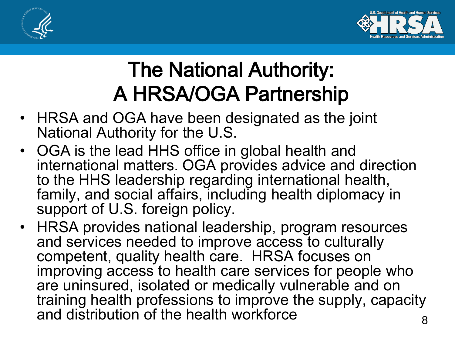



## The National Authority: A HRSA/OGA Partnership

- HRSA and OGA have been designated as the joint National Authority for the U.S.
- OGA is the lead HHS office in global health and international matters. OGA provides advice and direction to the HHS leadership regarding international health, family, and social affairs, including health diplomacy in support of U.S. foreign policy.
- 8 • HRSA provides national leadership, program resources and services needed to improve access to culturally competent, quality health care. HRSA focuses on improving access to health care services for people who are uninsured, isolated or medically vulnerable and on training health professions to improve the supply, capacity and distribution of the health workforce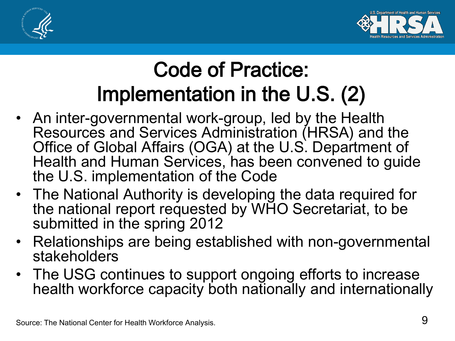



### Code of Practice: Implementation in the U.S. (2)

- An inter-governmental work-group, led by the Health Resources and Services Administration (HRSA) and the Office of Global Affairs (OGA) at the U.S. Department of Health and Human Services, has been convened to guide the U.S. implementation of the Code
- The National Authority is developing the data required for the national report requested by WHO Secretariat, to be submitted in the spring 2012
- Relationships are being established with non-governmental stakeholders
- The USG continues to support ongoing efforts to increase health workforce capacity both nationally and internationally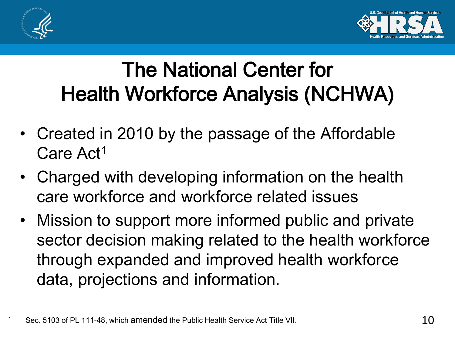



### The National Center for Health Workforce Analysis (NCHWA)

- Created in 2010 by the passage of the Affordable Care Act<sup>1</sup>
- Charged with developing information on the health care workforce and workforce related issues
- Mission to support more informed public and private sector decision making related to the health workforce through expanded and improved health workforce data, projections and information.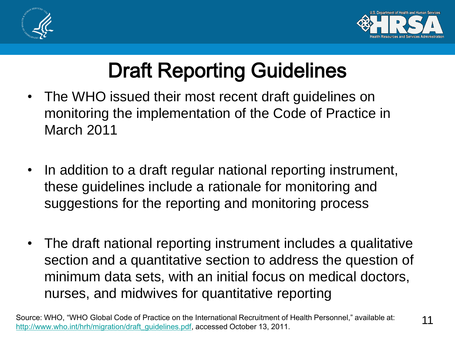



## Draft Reporting Guidelines

- The WHO issued their most recent draft guidelines on monitoring the implementation of the Code of Practice in March 2011
- In addition to a draft regular national reporting instrument, these guidelines include a rationale for monitoring and suggestions for the reporting and monitoring process
- The draft national reporting instrument includes a qualitative section and a quantitative section to address the question of minimum data sets, with an initial focus on medical doctors, nurses, and midwives for quantitative reporting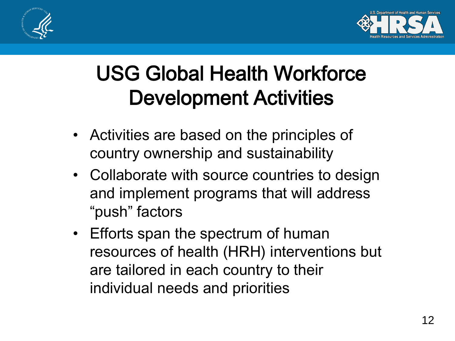



## USG Global Health Workforce Development Activities

- Activities are based on the principles of country ownership and sustainability
- Collaborate with source countries to design and implement programs that will address "push" factors
- Efforts span the spectrum of human resources of health (HRH) interventions but are tailored in each country to their individual needs and priorities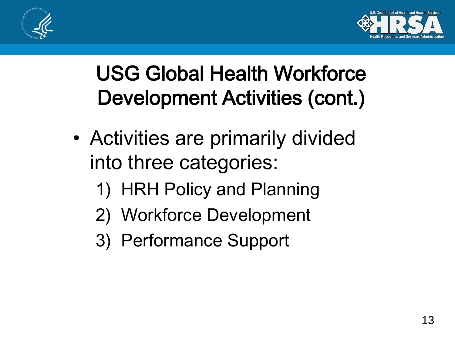



## USG Global Health Workforce Development Activities (cont.)

- Activities are primarily divided into three categories:
	- 1) HRH Policy and Planning
	- 2) Workforce Development
	- 3) Performance Support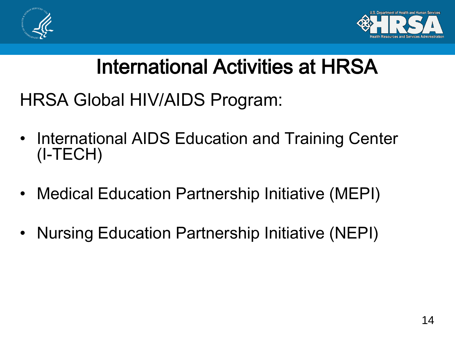



### International Activities at HRSA

HRSA Global HIV/AIDS Program:

- International AIDS Education and Training Center (I-TECH)
- Medical Education Partnership Initiative (MEPI)
- Nursing Education Partnership Initiative (NEPI)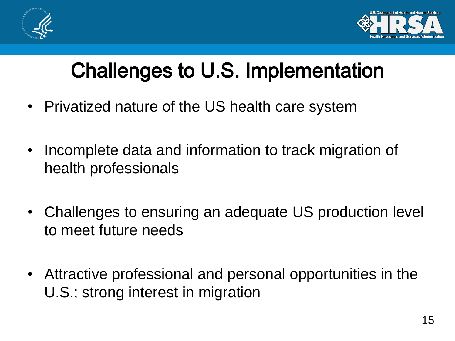



## Challenges to U.S. Implementation

- Privatized nature of the US health care system
- Incomplete data and information to track migration of health professionals
- Challenges to ensuring an adequate US production level to meet future needs
- Attractive professional and personal opportunities in the U.S.; strong interest in migration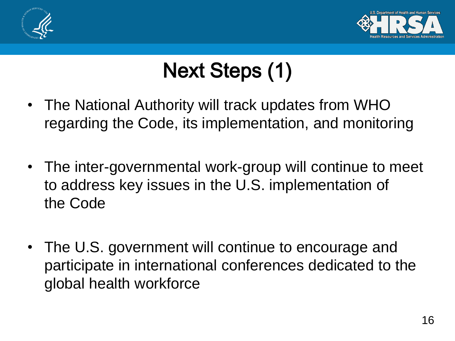



# Next Steps (1)

- The National Authority will track updates from WHO regarding the Code, its implementation, and monitoring
- The inter-governmental work-group will continue to meet to address key issues in the U.S. implementation of the Code
- The U.S. government will continue to encourage and participate in international conferences dedicated to the global health workforce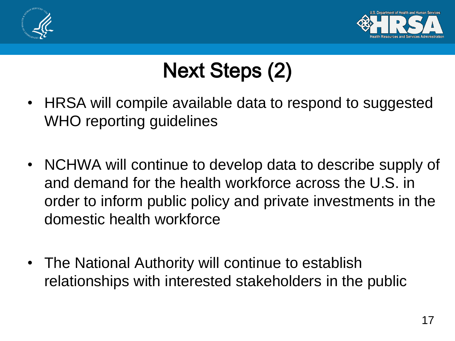



# Next Steps (2)

- HRSA will compile available data to respond to suggested WHO reporting guidelines
- NCHWA will continue to develop data to describe supply of and demand for the health workforce across the U.S. in order to inform public policy and private investments in the domestic health workforce
- The National Authority will continue to establish relationships with interested stakeholders in the public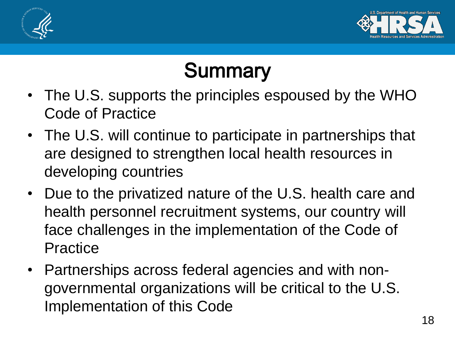



## **Summary**

- The U.S. supports the principles espoused by the WHO Code of Practice
- The U.S. will continue to participate in partnerships that are designed to strengthen local health resources in developing countries
- Due to the privatized nature of the U.S. health care and health personnel recruitment systems, our country will face challenges in the implementation of the Code of **Practice**
- Partnerships across federal agencies and with nongovernmental organizations will be critical to the U.S. Implementation of this Code